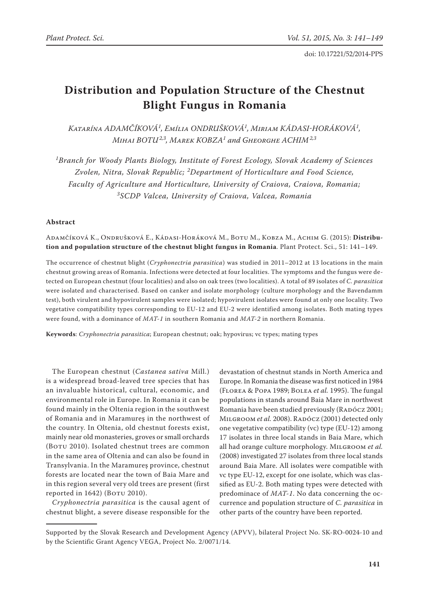# **Distribution and Population Structure of the Chestnut Blight Fungus in Romania**

*Katarína ADAMČÍKOVÁ<sup>1</sup> , Emília ONDRUŠKOVÁ<sup>1</sup> , Miriam KÁDASI-HORÁKOVÁ<sup>1</sup> , Mihai BOTU2,3, Marek KOBZA1 and Gheorghe ACHIM2,3*

*1 Branch for Woody Plants Biology, Institute of Forest Ecology, Slovak Academy of Sciences Zvolen, Nitra, Slovak Republic; <sup>2</sup> Department of Horticulture and Food Science, Faculty of Agriculture and Horticulture, University of Craiova, Craiova, Romania; 3 SCDP Valcea, University of Craiova, Valcea, Romania*

## **Abstract**

Adamčíková K., Ondrušková E., Kádasi-Horáková M., Botu M., Kobza M., Achim G. (2015): **Distribution and population structure of the chestnut blight fungus in Romania**. Plant Protect. Sci., 51: 141–149.

The occurrence of chestnut blight (*Cryphonectria parasitica*) was studied in 2011–2012 at 13 locations in the main chestnut growing areas of Romania. Infections were detected at four localities. The symptoms and the fungus were detected on European chestnut (four localities) and also on oak trees (two localities). A total of 89 isolates of *C. parasitica* were isolated and characterised. Based on canker and isolate morphology (culture morphology and the Bavendamm test), both virulent and hypovirulent samples were isolated; hypovirulent isolates were found at only one locality. Two vegetative compatibility types corresponding to EU-12 and EU-2 were identified among isolates. Both mating types were found, with a dominance of *MAT-1* in southern Romania and *MAT-2* in northern Romania.

**Keywords**: *Cryphonectria parasitica*; European chestnut; oak; hypovirus; vc types; mating types

The European chestnut (*Castanea sativa* Mill.) is a widespread broad-leaved tree species that has an invaluable historical, cultural, economic, and environmental role in Europe. In Romania it can be found mainly in the Oltenia region in the southwest of Romania and in Maramureş in the northwest of the country. In Oltenia, old chestnut forests exist, mainly near old monasteries, groves or small orchards (BOTU 2010). Isolated chestnut trees are common in the same area of Oltenia and can also be found in Transylvania. In the Maramureş province, chestnut forests are located near the town of Baia Mare and in this region several very old trees are present (first reported in  $1642$ ) (Boru 2010).

*Cryphonectria parasitica* is the causal agent of chestnut blight, a severe disease responsible for the

devastation of chestnut stands in North America and Europe. In Romania the disease was first noticed in 1984 (Florea & Popa 1989; Bolea *et al.* 1995). The fungal populations in stands around Baia Mare in northwest Romania have been studied previously (RADÓCZ 2001; MILGROOM *et al.* 2008). RADÓCZ (2001) detected only one vegetative compatibility (vc) type (EU-12) among 17 isolates in three local stands in Baia Mare, which all had orange culture morphology. Milgroom *et al.* (2008) investigated 27 isolates from three local stands around Baia Mare. All isolates were compatible with vc type EU-12, except for one isolate, which was classified as EU-2. Both mating types were detected with predominace of *MAT-1*. No data concerning the occurrence and population structure of *C. parasitica* in other parts of the country have been reported.

Supported by the Slovak Research and Development Agency (APVV), bilateral Project No. SK-RO-0024-10 and by the Scientific Grant Agency VEGA, Project No. 2/0071/14.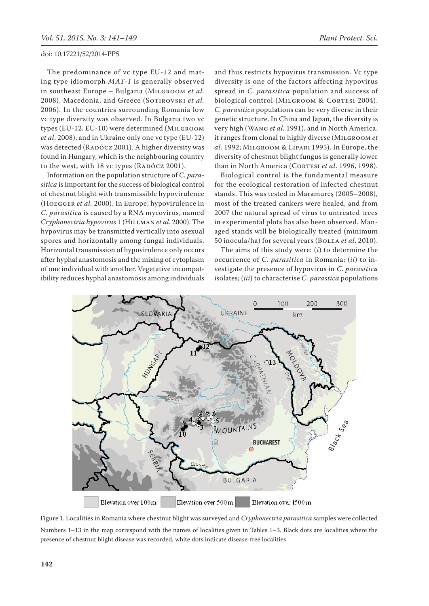The predominance of vc type EU-12 and mating type idiomorph *MAT-1* is generally observed in southeast Europe – Bulgaria (Milgroom *et al.* 2008), Macedonia, and Greece (Sotirovski *et al.* 2006). In the countries surrounding Romania low vc type diversity was observed. In Bulgaria two vc types (EU-12, EU-10) were determined (Milgroom *et al*. 2008), and in Ukraine only one vc type (EU-12) was detected (RADÓCZ 2001). A higher diversity was found in Hungary, which is the neighbouring country to the west, with  $18$  vc types ( $RADÓCZ 2001$ ).

Information on the population structure of *C. parasitica* is important for the success of biological control of chestnut blight with transmissible hypovirulence (Hoegger *et al.* 2000). In Europe, hypovirulence in *C. parasitica* is caused by a RNA mycovirus, named *Cryphonectria hypovirus* 1 (Hillman *et al*. 2000). The hypovirus may be transmitted vertically into asexual spores and horizontally among fungal individuals. Horizontal transmission of hypovirulence only occurs after hyphal anastomosis and the mixing of cytoplasm of one individual with another. Vegetative incompatibility reduces hyphal anastomosis among individuals

and thus restricts hypovirus transmission. Vc type diversity is one of the factors affecting hypovirus spread in *C. parasitica* population and success of biological control (MILGROOM & CORTESI 2004). *C. parasitica* populations can be very diverse in their genetic structure. In China and Japan, the diversity is very high (Wang *et al.* 1991), and in North America, it ranges from clonal to highly diverse (Milgroom *et al.* 1992; Milgroom & Lipari 1995). In Europe, the diversity of chestnut blight fungus is generally lower than in North America (CORTESI et al. 1996, 1998).

Biological control is the fundamental measure for the ecological restoration of infected chestnut stands. This was tested in Maramureş (2005–2008), most of the treated cankers were healed, and from 2007 the natural spread of virus to untreated trees in experimental plots has also been observed. Managed stands will be biologically treated (minimum 50 inocula/ha) for several years (Bolea *et al*. 2010).

The aims of this study were: (*i*) to determine the occurrence of *C. parasitica* in Romania; (*ii*) to investigate the presence of hypovirus in *C. parasitica* isolates; (*iii*) to characterise *C. parastica* populations



Figure 1. Localities in Romania where chestnut blight was surveyed and *Cryphonectria parasitica* samples were collected Numbers 1–13 in the map correspond with the names of localities given in Tables 1–3. Black dots are localities where the presence of chestnut blight disease was recorded, white dots indicate disease-free localities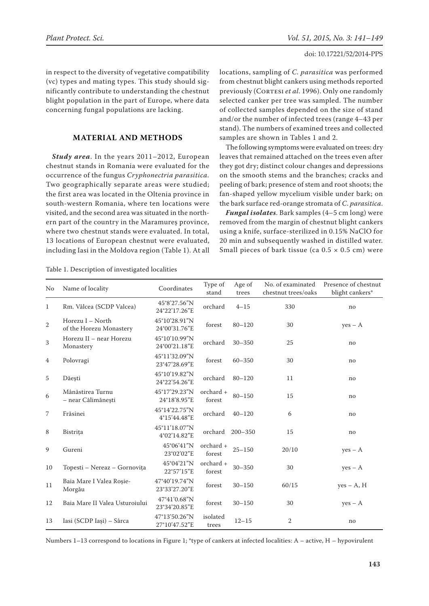in respect to the diversity of vegetative compatibility (vc) types and mating types. This study should significantly contribute to understanding the chestnut blight population in the part of Europe, where data concerning fungal populations are lacking.

# **MATERIAL AND METHODS**

*Study area*. In the years 2011–2012, European chestnut stands in Romania were evaluated for the occurrence of the fungus *Cryphonectria parasitica.* Two geographically separate areas were studied; the first area was located in the Oltenia province in south-western Romania, where ten locations were visited, and the second area was situated in the northern part of the country in the Maramureş province, where two chestnut stands were evaluated. In total, 13 locations of European chestnut were evaluated, including Iasi in the Moldova region (Table 1). At all locations, sampling of *C. parasitica* was performed from chestnut blight cankers using methods reported previously (CORTESI *et al.* 1996). Only one randomly selected canker per tree was sampled. The number of collected samples depended on the size of stand and/or the number of infected trees (range 4–43 per stand). The numbers of examined trees and collected samples are shown in Tables 1 and 2.

The following symptoms were evaluated on trees: dry leaves that remained attached on the trees even after they got dry; distinct colour changes and depressions on the smooth stems and the branches; cracks and peeling of bark; presence of stem and root shoots; the fan-shaped yellow mycelium visible under bark; on the bark surface red-orange stromata of *C*. *parasitica*.

*Fungal isolates*. Bark samples (4–5 cm long) were removed from the margin of chestnut blight cankers using a knife, surface-sterilized in 0.15% NaClO for 20 min and subsequently washed in distilled water. Small pieces of bark tissue (ca  $0.5 \times 0.5$  cm) were

|  | Table 1. Description of investigated localities |
|--|-------------------------------------------------|
|--|-------------------------------------------------|

| No             | Name of locality                            | Coordinates                    | Type of<br>stand    | Age of<br>trees | No. of examinated<br>chestnut trees/oaks | Presence of chestnut<br>blight cankers* |
|----------------|---------------------------------------------|--------------------------------|---------------------|-----------------|------------------------------------------|-----------------------------------------|
| $\mathbf{1}$   | Rm. Vâlcea (SCDP Valcea)                    | 45°8'27.56"N<br>24°22'17.26"E  | orchard             | $4 - 15$        | 330                                      | no                                      |
| $\overline{2}$ | Horezu I - North<br>of the Horezu Monastery | 45°10'28.91"N<br>24°00'31.76"E | forest              | $80 - 120$      | 30                                       | $yes - A$                               |
| 3              | Horezu II - near Horezu<br>Monastery        | 45°10'10.99"N<br>24°00'21.18"E | orchard             | $30 - 350$      | 25                                       | no                                      |
| 4              | Polovragi                                   | 45°11'32.09"N<br>23°47'28.69"E | forest              | $60 - 350$      | 30                                       | no                                      |
| 5              | Dăești                                      | 45°10'19.82"N<br>24°22'54.26"E | orchard             | $80 - 120$      | 11                                       | no                                      |
| 6              | Mânăstirea Turnu<br>- near Călimănești      | 45°17'29.23"N<br>24°18'8.95"E  | orchard +<br>forest | $80 - 150$      | 15                                       | no                                      |
| $\overline{7}$ | Frăsinei                                    | 45°14'22.75"N<br>4°15'44.48"E  | orchard             | $40 - 120$      | 6                                        | no                                      |
| 8              | Bistrița                                    | 45°11'18.07"N<br>4°02'14.82"E  | orchard             | $200 - 350$     | 15                                       | no                                      |
| 9              | Gureni                                      | 45°06'41"N<br>23°02'02"E       | orchard +<br>forest | $25 - 150$      | 20/10                                    | $yes - A$                               |
| 10             | Topesti - Nereaz - Gornovița                | 45°04'21"N<br>22°57'15"E       | orchard +<br>forest | $30 - 350$      | 30                                       | $yes - A$                               |
| 11             | Baia Mare I Valea Roșie-<br>Morgău          | 47°40'19.74"N<br>23°33'27.20"E | forest              | $30 - 150$      | 60/15                                    | $yes - A, H$                            |
| 12             | Baia Mare II Valea Usturoiului              | 47°41'0.68"N<br>23°34'20.85"E  | forest              | $30 - 150$      | 30                                       | $yes - A$                               |
| 13             | Iasi (SCDP Iasi) – Sârca                    | 47°13'50.26"N<br>27°10'47.52"E | isolated<br>trees   | $12 - 15$       | 2                                        | no                                      |

Numbers 1–13 correspond to locations in Figure 1; \*type of cankers at infected localities: A – active, H – hypovirulent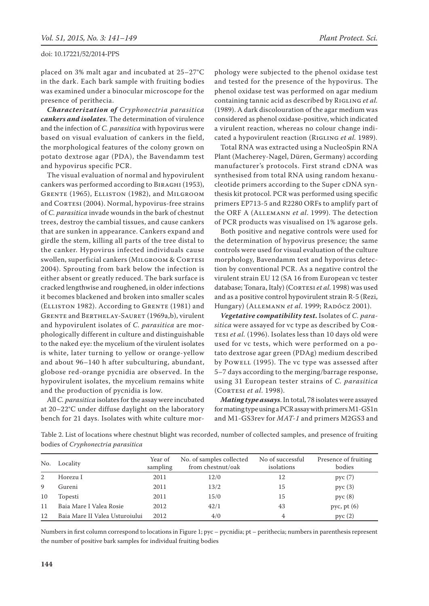placed on 3% malt agar and incubated at 25–27°C in the dark. Each bark sample with fruiting bodies was examined under a binocular microscope for the presence of perithecia.

*Characterization of Cryphonectria parasitica cankers and isolates*. The determination of virulence and the infection of *C. parasitica* with hypovirus were based on visual evaluation of cankers in the field, the morphological features of the colony grown on potato dextrose agar (PDA), the Bavendamm test and hypovirus specific PCR.

The visual evaluation of normal and hypovirulent cankers was performed according to BIRAGHI (1953), Grente (1965), Elliston (1982), and Milgroom and CORTESI (2004). Normal, hypovirus-free strains of *C. parasitica* invade wounds in the bark of chestnut trees, destroy the cambial tissues, and cause cankers that are sunken in appearance. Cankers expand and girdle the stem, killing all parts of the tree distal to the canker. Hypovirus infected individuals cause swollen, superficial cankers (MILGROOM & CORTESI 2004). Sprouting from bark below the infection is either absent or greatly reduced. The bark surface is cracked lengthwise and roughened, in older infections it becomes blackened and broken into smaller scales (ELLISTON 1982). According to GRENTE (1981) and GRENTE and BERTHELAY-SAURET (1969a,b), virulent and hypovirulent isolates of *C. parasitica* are morphologically different in culture and distinguishable to the naked eye: the mycelium of the virulent isolates is white, later turning to yellow or orange-yellow and about 96–140 h after subculturing, abundant, globose red-orange pycnidia are observed. In the hypovirulent isolates, the mycelium remains white and the production of pycnidia is low.

All *C. parasitica* isolates for the assay were incubated at 20–22°C under diffuse daylight on the laboratory bench for 21 days. Isolates with white culture mor-

phology were subjected to the phenol oxidase test and tested for the presence of the hypovirus. The phenol oxidase test was performed on agar medium containing tannic acid as described by RIGLING *et al.* (1989). A dark discolouration of the agar medium was considered as phenol oxidase-positive, which indicated a virulent reaction, whereas no colour change indicated a hypovirulent reaction (RIGLING et al. 1989).

Total RNA was extracted using a NucleoSpin RNA Plant (Macherey-Nagel, Düren, Germany) according manufacturer's protocols. First strand cDNA was synthesised from total RNA using random hexanucleotide primers according to the Super cDNA synthesis kit protocol. PCR was performed using specific primers EP713-5 and R2280 ORFs to amplify part of the ORF A (Allemann *et al*. 1999). The detection of PCR products was visualised on 1% agarose gels.

Both positive and negative controls were used for the determination of hypovirus presence; the same controls were used for visual evaluation of the culture morphology, Bavendamm test and hypovirus detection by conventional PCR. As a negative control the virulent strain EU 12 (SA 16 from European vc tester database; Tonara, Italy) (CORTESI et al. 1998) was used and as a positive control hypovirulent strain R-5 (Rezi, Hungary) (ALLEMANN et al. 1999; RADÓCZ 2001).

*Vegetative compatibility test***.** Isolates of *C. parasitica* were assayed for vc type as described by Cor-TESI et al. (1996). Isolates less than 10 days old were used for vc tests, which were performed on a potato dextrose agar green (PDAg) medium described by Powell (1995). The vc type was assessed after 5–7 days according to the merging/barrage response, using 31 European tester strains of *C. parasitica*  (Cortesi *et al*. 1998).

*Mating type assays*. In total, 78 isolates were assayed for mating type using a PCR assay with primers M1-GS1n and M1-GS3rev for *MAT-1* and primers M2GS3 and

Table 2. List of locations where chestnut blight was recorded, number of collected samples, and presence of fruiting bodies of *Cryphonectria parasitica*

| No. | Locality                       | Year of<br>sampling | No. of samples collected<br>from chestnut/oak | No of successful<br>isolations | Presence of fruiting<br>bodies |
|-----|--------------------------------|---------------------|-----------------------------------------------|--------------------------------|--------------------------------|
| 2   | Horezu I                       | 2011                | 12/0                                          | 12                             | pyc(7)                         |
| 9   | Gureni                         | 2011                | 13/2                                          | 15                             | pyc(3)                         |
| 10  | Topesti                        | 2011                | 15/0                                          | 15                             | pyc(8)                         |
| 11  | Baia Mare I Valea Rosie        | 2012                | 42/1                                          | 43                             | pyc, pt $(6)$                  |
| 12  | Baia Mare II Valea Usturoiului | 2012                | 4/0                                           | 4                              | pyc(2)                         |

Numbers in first column correspond to locations in Figure 1; pyc – pycnidia; pt – perithecia; numbers in parenthesis represent the number of positive bark samples for individual fruiting bodies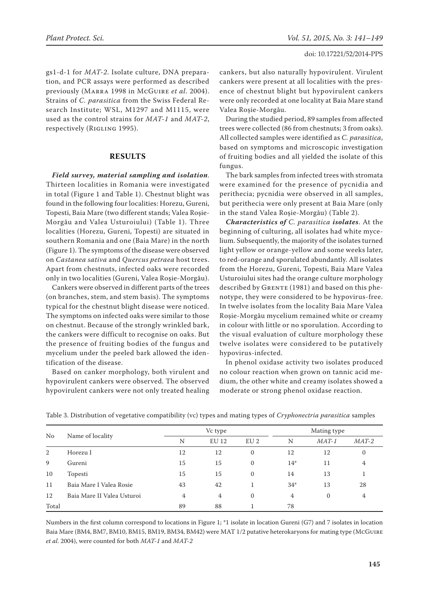gs1-d-1 for *MAT-2*. Isolate culture, DNA preparation, and PCR assays were performed as described previously (Marra 1998 in McGuire *et al*. 2004). Strains of *C. parasitica* from the Swiss Federal Research Institute; WSL, M1297 and M1115, were used as the control strains for *MAT-1* and *MAT-2*, respectively (RIGLING 1995).

# **RESULTS**

*Field survey, material sampling and isolation*. Thirteen localities in Romania were investigated in total (Figure 1 and Table 1). Chestnut blight was found in the following four localities: Horezu, Gureni, Topesti, Baia Mare (two different stands; Valea Roşie-Morgău and Valea Usturoiului) (Table 1). Three localities (Horezu, Gureni, Topesti) are situated in southern Romania and one (Baia Mare) in the north (Figure 1). The symptoms of the disease were observed on *Castanea sativa* and *Quercus petraea* host trees. Apart from chestnuts, infected oaks were recorded only in two localities (Gureni, Valea Roşie-Morgău).

Cankers were observed in different parts of the trees (on branches, stem, and stem basis). The symptoms typical for the chestnut blight disease were noticed. The symptoms on infected oaks were similar to those on chestnut. Because of the strongly wrinkled bark, the cankers were difficult to recognise on oaks. But the presence of fruiting bodies of the fungus and mycelium under the peeled bark allowed the identification of the disease.

Based on canker morphology, both virulent and hypovirulent cankers were observed. The observed hypovirulent cankers were not only treated healing

cankers, but also naturally hypovirulent. Virulent cankers were present at all localities with the presence of chestnut blight but hypovirulent cankers were only recorded at one locality at Baia Mare stand Valea Roşie-Morgău.

During the studied period, 89 samples from affected trees were collected (86 from chestnuts; 3 from oaks). All collected samples were identified as *C. parasitica*, based on symptoms and microscopic investigation of fruiting bodies and all yielded the isolate of this fungus.

The bark samples from infected trees with stromata were examined for the presence of pycnidia and perithecia; pycnidia were observed in all samples, but perithecia were only present at Baia Mare (only in the stand Valea Roşie-Morgău) (Table 2).

*Characteristics of C. parasitica isolates*. At the beginning of culturing, all isolates had white mycelium. Subsequently, the majority of the isolates turned light yellow or orange-yellow and some weeks later, to red-orange and sporulated abundantly. All isolates from the Horezu, Gureni, Topesti, Baia Mare Valea Usturoiului sites had the orange culture morphology described by GRENTE (1981) and based on this phenotype, they were considered to be hypovirus-free. In twelve isolates from the locality Baia Mare Valea Roşie-Morgău mycelium remained white or creamy in colour with little or no sporulation. According to the visual evaluation of culture morphology these twelve isolates were considered to be putatively hypovirus-infected.

In phenol oxidase activity two isolates produced no colour reaction when grown on tannic acid medium, the other white and creamy isolates showed a moderate or strong phenol oxidase reaction.

| No    | Name of locality           |    | Vc type |                 |       | Mating type  |         |  |
|-------|----------------------------|----|---------|-----------------|-------|--------------|---------|--|
|       |                            | N  | EU 12   | EU <sub>2</sub> | N     | $MAT-1$      | $MAT-2$ |  |
| 2     | Horezu I                   | 12 | 12      | $\mathbf{0}$    | 12    | 12           | 0       |  |
| 9     | Gureni                     | 15 | 15      | $\Omega$        | $14*$ | 11           | 4       |  |
| 10    | Topesti                    | 15 | 15      | $\Omega$        | 14    | 13           |         |  |
| 11    | Baia Mare I Valea Rosie    | 43 | 42      |                 | $34*$ | 13           | 28      |  |
| 12    | Baia Mare II Valea Usturoi | 4  | 4       | $\Omega$        | 4     | $\mathbf{0}$ | 4       |  |
| Total |                            | 89 | 88      |                 | 78    |              |         |  |

Table 3. Distribution of vegetative compatibility (vc) types and mating types of *Cryphonectria parasitica* samples

Numbers in the first column correspond to locations in Figure 1; \*1 isolate in location Gureni (G7) and 7 isolates in location Baia Mare (BM4, BM7, BM10, BM15, BM19, BM34, BM42) were MAT 1/2 putative heterokaryons for mating type (McGuire *et al*. 2004), were counted for both *MAT-1* and *MAT-2*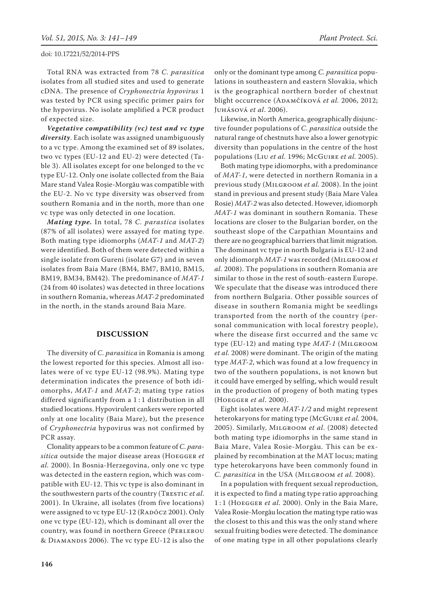Total RNA was extracted from 78 *C. parasitica* isolates from all studied sites and used to generate cDNA. The presence of *Cryphonectria hypovirus* 1 was tested by PCR using specific primer pairs for the hypovirus. No isolate amplified a PCR product of expected size.

*Vegetative compatibility (vc) test and vc type diversity*. Each isolate was assigned unambiguously to a vc type. Among the examined set of 89 isolates, two vc types (EU-12 and EU-2) were detected (Table 3). All isolates except for one belonged to the vc type EU-12. Only one isolate collected from the Baia Mare stand Valea Roşie-Morgău was compatible with the EU-2. No vc type diversity was observed from southern Romania and in the north, more than one vc type was only detected in one location.

*Mating type.* In total, 78 *C. parastica* isolates (87% of all isolates) were assayed for mating type. Both mating type idiomorphs (*MAT-1* and *MAT-2*) were identified. Both of them were detected within a single isolate from Gureni (isolate G7) and in seven isolates from Baia Mare (BM4, BM7, BM10, BM15, BM19, BM34, BM42). The predominance of *MAT-1* (24 from 40 isolates) was detected in three locations in southern Romania, whereas *MAT-2* predominated in the north, in the stands around Baia Mare.

## **DISCUSSION**

The diversity of *C. parasitica* in Romania is among the lowest reported for this species. Almost all isolates were of vc type EU-12 (98.9%). Mating type determination indicates the presence of both idiomorphs, *MAT-1* and *MAT-2*; mating type ratios differed significantly from a 1 : 1 distribution in all studied locations. Hypovirulent cankers were reported only at one locality (Baia Mare), but the presence of *Cryphonectria* hypovirus was not confirmed by PCR assay.

Clonality appears to be a common feature of *C. parasitica* outside the major disease areas (Hoegger *et al.* 2000). In Bosnia-Herzegovina, only one vc type was detected in the eastern region, which was compatible with EU-12. This vc type is also dominant in the southwestern parts of the country (TRESTIC *et al.*) 2001). In Ukraine, all isolates (from five locations) were assigned to vc type EU-12 (RADÓCZ 2001). Only one vc type (EU-12), which is dominant all over the country, was found in northern Greece (Perlerou & Diamandis 2006). The vc type EU-12 is also the

only or the dominant type among *C. parasitica* populations in southeastern and eastern Slovakia, which is the geographical northern border of chestnut blight occurrence (ADAMČíKOVÁ et al. 2006, 2012; Juhásová *et al*. 2006).

Likewise, in North America, geographically disjunctive founder populations of *C. parasitica* outside the natural range of chestnuts have also a lower genotypic diversity than populations in the centre of the host populations (Liu *et al.* 1996; McGuire *et al.* 2005).

Both mating type idiomorphs, with a predominance of *MAT-1*, were detected in northern Romania in a previous study (Milgroom *et al.* 2008). In the joint stand in previous and present study (Baia Mare Valea Rosie) *MAT-2* was also detected. However, idiomorph *MAT-1* was dominant in southern Romania. These locations are closer to the Bulgarian border, on the southeast slope of the Carpathian Mountains and there are no geographical barriers that limit migration. The dominant vc type in north Bulgaria is EU-12 and only idiomorph *MAT-1* was recorded (Milgroom *et al.* 2008). The populations in southern Romania are similar to those in the rest of south-eastern Europe. We speculate that the disease was introduced there from northern Bulgaria. Other possible sources of disease in southern Romania might be seedlings transported from the north of the country (personal communication with local forestry people), where the disease first occurred and the same vc type (EU-12) and mating type *MAT-1* (Milgroom *et al.* 2008) were dominant. The origin of the mating type *MAT-2*, which was found at a low frequency in two of the southern populations, is not known but it could have emerged by selfing, which would result in the production of progeny of both mating types (Hoegger *et al*. 2000).

Eight isolates were *MAT-1/2* and might represent heterokaryons for mating type (McGuire *et al.* 2004, 2005). Similarly, Milgroom *et al*. (2008) detected both mating type idiomorphs in the same stand in Baia Mare, Valea Rosie-Morgău. This can be explained by recombination at the MAT locus; mating type heterokaryons have been commonly found in *C. parasitica* in the USA (Milgroom *et al.* 2008).

In a population with frequent sexual reproduction, it is expected to find a mating type ratio approaching 1 : 1 (Hoegger *et al.* 2000). Only in the Baia Mare, Valea Rosie-Morgău location the mating type ratio was the closest to this and this was the only stand where sexual fruiting bodies were detected. The dominance of one mating type in all other populations clearly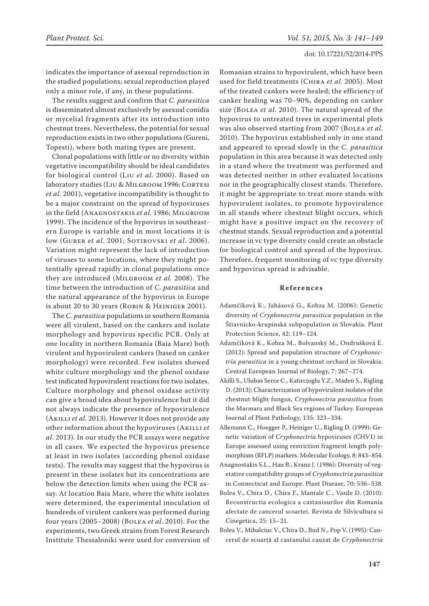indicates the importance of asexual reproduction in the studied populations; sexual reproduction played only a minor role, if any, in these populations.

The results suggest and confirm that *C. parasitica*  is disseminated almost exclusively by asexual conidia or mycelial fragments after its introduction into chestnut trees. Nevertheless, the potential for sexual reproduction exists in two other populations (Gureni, Topesti), where both mating types are present.

Clonal populations with little or no diversity within vegetative incompatibility should be ideal candidates for biological control (Liu *et al.* 2000). Based on laboratory studies (LIU & MILGROOM 1996; CORTESI *et al.* 2001), vegetative incompatibility is thought to be a major constraint on the spread of hypoviruses in the field (Anagnostakis *et al.* 1986; Milgroom 1999). The incidence of the hypovirus in southeastern Europe is variable and in most locations it is low (Gurer *et al.* 2001; Sotirovski *et al*. 2006). Variation might represent the lack of introduction of viruses to some locations, where they might potentially spread rapidly in clonal populations once they are introduced (Milgroom *et al.* 2008). The time between the introduction of *C. parasitica* and the natural appearance of the hypovirus in Europe is about 20 to 30 years (Robin & Heiniger 2001).

The *C. parasitica* populations in southern Romania were all virulent, based on the cankers and isolate morphology and hypovirus specific PCR. Only at one locality in northern Romania (Baia Mare) both virulent and hypovirulent cankers (based on canker morphology) were recorded. Few isolates showed white culture morphology and the phenol oxidase test indicated hypovirulent reactions for two isolates. Culture morphology and phenol oxidase activity can give a broad idea about hypovirulence but it did not always indicate the presence of hypovirulence (Akilli *et al.* 2013). However it does not provide any other information about the hypoviruses (Akilli *et al*. 2013). In our study the PCR assays were negative in all cases. We expected the hypovirus presence at least in two isolates (according phenol oxidase tests). The results may suggest that the hypovirus is present in these isolates but its concentrations are below the detection limits when using the PCR assay. At location Baia Mare, where the white isolates were determined, the experimental inoculation of hundreds of virulent cankers was performed during four years (2005–2008) (Bolea *et al*. 2010). For the experiments, two Greek strains from Forest Research Institute Thessaloniki were used for conversion of

Romanian strains to hypovirulent, which have been used for field treatments (Chira *et al.* 2005). Most of the treated cankers were healed; the efficiency of canker healing was 70–90%, depending on canker size (Bolea *et al*. 2010). The natural spread of the hypovirus to untreated trees in experimental plots was also observed starting from 2007 (Bolea *et al*. 2010). The hypovirus established only in one stand and appeared to spread slowly in the *C. parasitica* population in this area because it was detected only in a stand where the treatment was performed and was detected neither in other evaluated locations nor in the geographically closest stands. Therefore, it might be appropriate to treat more stands with hypovirulent isolates, to promote hypovirulence in all stands where chestnut blight occurs, which might have a positive impact on the recovery of chestnut stands. Sexual reproduction and a potential increase in vc type diversity could create an obstacle for biological control and spread of the hypovirus. Therefore, frequent monitoring of vc type diversity and hypovirus spread is advisable.

#### **References**

- Adamčíková K., Juhásová G., Kobza M. (2006): Genetic diversity of *Cryphonectria parasitica* population in the Štiavnicko-krupinská subpopulation in Slovakia. Plant Protection Science, 42: 119–124.
- Adamčíková K., Kobza M., Bolvanský M., Ondrušková E. (2012): Spread and population structure of *Cryphonectria parasitica* in a young chestnut orchard in Slovakia. Central European Journal of Biology, 7: 267–274.
- Akilli S., Ulubas Serce C., Katircioglu Y.Z., Maden S., Rigling D. (2013): Characterization of hypovirulent isolates of the chestnut blight fungus, *Cryphonectria parasitica* from the Marmara and Black Sea regions of Turkey. European Journal of Plant Pathology, 135: 323–334.
- Allemann C., Hoegger P., Heiniger U., Rigling D. (1999): Genetic variation of *Cryphonectria* hypoviruses (CHV1) in Europe assessed using restriction fragment length polymorphism (RFLP) markers. Molecular Ecology, 8: 843–854.
- Anagnostakis S.L., Hau B., Kranz J. (1986): Diversity of vegetative compatibility groups of *Cryphonectria parasitica* in Connecticut and Europe. Plant Disease, 70: 536–538.
- Bolea V., Chira D., Chira F., Mantale C., Vasile D. (2010): Reconstructia ecologica a castanisurilor din Romania afectate de cancerul scoartei. Revista de Silvicultura si Cinegetica, 25: 15–21.
- Bolea V., Mihalciuc V., Chira D., Bud N., Pop V. (1995): Cancerul de scoarţă al castanului cauzat de *Cryphonectria*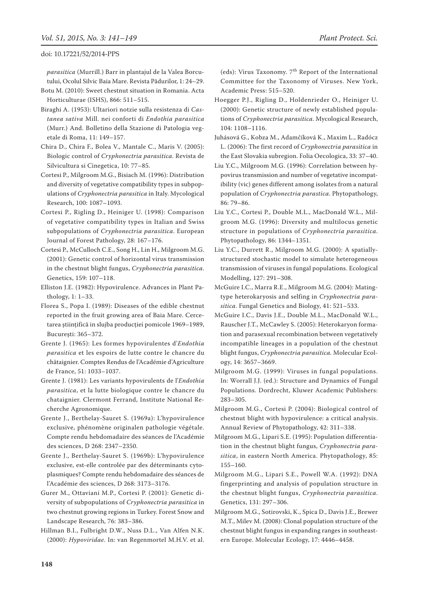*parasitica* (Murrill.) Barr in plantajul de la Valea Borcutului, Ocolul Silvic Baia Mare. Revista Pădurilor, 1: 24–29.

- Botu M. (2010): Sweet chestnut situation in Romania. Acta Horticulturae (ISHS), 866: 511–515.
- Biraghi A. (1953): Ultariori notzie sulla resistenza di *Castanea sativa* Mill. nei conforti di *Endothia parasitica* (Murr.) And. Bolletino della Stazione di Patologia vegetale di Roma, 11: 149–157.
- Chira D., Chira F., Bolea V., Mantale C., Maris V. (2005): Biologic control of *Cryphonectria parasitica*. Revista de Silvicultura si Cinegetica, 10: 77–85.
- Cortesi P., Milgroom M.G., Bisiach M. (1996): Distribution and diversity of vegetative compatibility types in subpopulations of *Cryphonectria parasitica* in Italy. Mycological Research, 100: 1087–1093.
- Cortesi P., Rigling D., Heiniger U. (1998): Comparison of vegetative compatibility types in Italian and Swiss subpopulations of *Cryphonectria parasitica*. European Journal of Forest Pathology, 28: 167–176.
- Cortesi P., McCulloch C.E., Song H., Lin H., Milgroom M.G. (2001): Genetic control of horizontal virus transmission in the chestnut blight fungus, *Cryphonectria parasitica*. Genetics, 159: 107–118.
- Elliston J.E. (1982): Hypovirulence. Advances in Plant Pathology, 1: 1–33.
- Florea S., Popa I. (1989): Diseases of the edible chestnut reported in the fruit growing area of Baia Mare. Cercetarea ştiinţifică in slujba producţiei pomicole 1969–1989, Bucureşti: 365–372.
- Grente J. (1965): Les formes hypovirulentes d'*Endothia parasitica* et les espoirs de lutte contre le chancre du châtaignier. Comptes Rendus de l'Académie d'Agriculture de France, 51: 1033–1037.
- Grente J. (1981): Les variants hypovirulents de l'*Endothia parasitica*, et la lutte biologique contre le chancre du chataignier. Clermont Ferrand, Institute National Recherche Agronomique.
- Grente J., Berthelay-Sauret S. (1969a): L'hypovirulence exclusive, phénomène originalen pathologie végétale. Compte rendu hebdomadaire des séances de l'Académie des sciences, D 268: 2347–2350.
- Grente J., Berthelay-Sauret S. (1969b): L'hypovirulence exclusive, est-elle controlée par des déterminants cytoplasmiques? Compte rendu hebdomadaire des séances de l'Académie des sciences, D 268: 3173–3176.
- Gurer M., Ottaviani M.P., Cortesi P. (2001): Genetic diversity of subpopulations of *Cryphonectria parasitica* in two chestnut growing regions in Turkey. Forest Snow and Landscape Research, 76: 383–386.
- Hillman B.I., Fulbright D.W., Nuss D.L., Van Alfen N.K. (2000): *Hypoviridae*. In: van Regenmortel M.H.V. et al.

(eds): Virus Taxonomy. 7<sup>th</sup> Report of the International Committee for the Taxonomy of Viruses. New York, Academic Press: 515–520.

- Hoegger P.J., Rigling D., Holdenrieder O., Heiniger U. (2000): Genetic structure of newly established populations of *Cryphonectria parasitica*. Mycological Research, 104: 1108–1116.
- Juhásová G., Kobza M., Adamčíková K., Maxim L., Radócz L. (2006): The first record of *Cryphonectria parasitica* in the East Slovakia subregion. Folia Oecologica, 33: 37–40.
- Liu Y.C., Milgroom M.G. (1996): Correlation between hypovirus transmission and number of vegetative incompatibility (vic) genes different among isolates from a natural population of *Cryphonectria parastica*. Phytopathology, 86: 79–86.
- Liu Y.C., Cortesi P., Double M.L., MacDonald W.L., Milgroom M.G. (1996): Diversity and multilocus genetic structure in populations of *Cryphonectria parasitica*. Phytopathology, 86: 1344–1351.
- Liu Y.C., Durrett R., Milgroom M.G. (2000): A spatiallystructured stochastic model to simulate heterogeneous transmission of viruses in fungal populations. Ecological Modelling, 127: 291–308.
- McGuire I.C., Marra R.E., Milgroom M.G. (2004): Matingtype heterokaryosis and selfing in *Cryphonectria parasitica*. Fungal Genetics and Biology, 41: 521–533.
- McGuire I.C., Davis J.E., Double M.L., MacDonald W.L., Rauscher J.T., McCawley S. (2005): Heterokaryon formation and parasexual recombination between vegetatively incompatible lineages in a population of the chestnut blight fungus, *Cryphonectria parasitica.* Molecular Ecology, 14: 3657–3669.
- Milgroom M.G. (1999): Viruses in fungal populations. In: Worrall J.J. (ed.): Structure and Dynamics of Fungal Populations. Dordrecht, Kluwer Academic Publishers: 283–305.
- Milgroom M.G., Cortesi P. (2004): Biological control of chestnut blight with hypovirulence: a critical analysis. Annual Review of Phytopathology, 42: 311–338.
- Milgroom M.G., Lipari S.E. (1995): Population differentiation in the chestnut blight fungus, *Cryphonectria parasitica*, in eastern North America. Phytopathology, 85: 155–160.
- Milgroom M.G., Lipari S.E., Powell W.A. (1992): DNA fingerprinting and analysis of population structure in the chestnut blight fungus, *Cryphonectria parasitica*. Genetics, 131: 297–306.
- Milgroom M.G., Sotirovski, K., Spica D., Davis J.E., Brewer M.T., Milev M. (2008): Clonal population structure of the chestnut blight fungus in expanding ranges in southeastern Europe. Molecular Ecology, 17: 4446–4458.